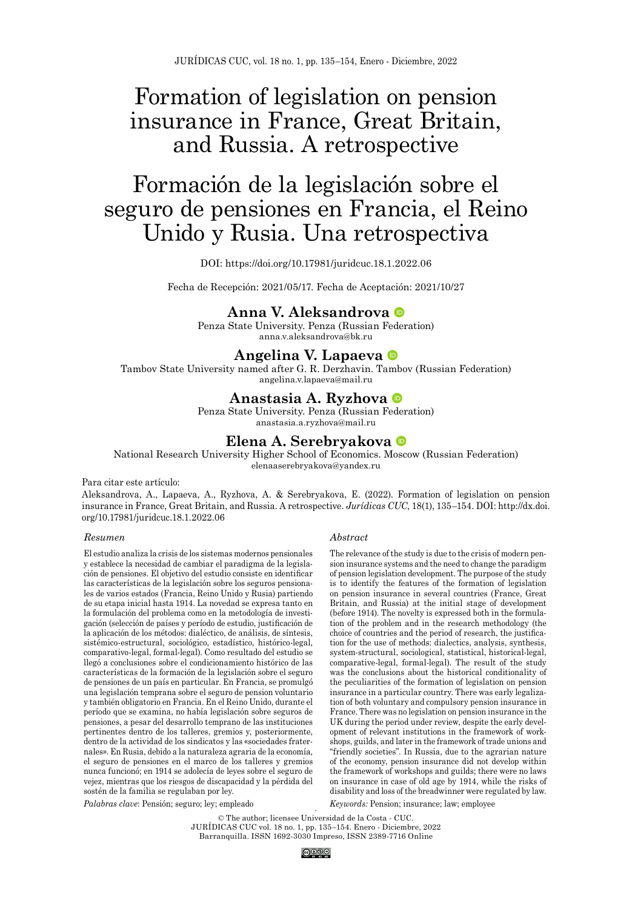# Formation of legislation on pension insurance in France, Great Britain, and Russia. A retrospective

# Formación de la legislación sobre el seguro de pensiones en Francia, el Reino Unido y Rusia. Una retrospectiva

#### DOI:<https://doi.org/10.17981/juridcuc.18.1.2022.06>

Fecha de Recepción: 2021/05/17. Fecha de Aceptación: 2021/10/27

#### <span id="page-0-0"></span>**[Anna V. Aleksandrova](#page-19-0)**

Penza State University. Penza (Russian Federation) anna.v.aleksandrova@bk.ru

#### <span id="page-0-1"></span>**[Angelina V. Lapaeva](#page-19-1)**

Tambov State University named after G. R. Derzhavin. Tambov (Russian Federation) angelina.v.lapaeva@mail.ru

#### **[Anastasia A. Ryzhova](#page-19-2)**

Penza State University. Penza (Russian Federation)

#### anastasia.a.ryzhova@mail.ru

#### **[Elena A. Serebryakova](#page-19-3)**

National Research University Higher School of Economics. Moscow (Russian Federation) elenaaserebryakova@yandex.ru

#### Para citar este artículo:

Aleksandrova, A., Lapaeva, A., Ryzhova, A. & Serebryakova, E. (2022). Formation of legislation on pension insurance in France, Great Britain, and Russia. A retrospective. *Jurídicas CUC*, 18(1), 135–154. DOI: [http://dx.doi.](http://dx.doi.org/10.17981/juridcuc.18.1.2022.06) [org/10.17981/juridcuc.18.1.2022.0](http://dx.doi.org/10.17981/juridcuc.18.1.2022.06)6

#### *Resumen*

El estudio analiza la crisis de los sistemas modernos pensionales y establece la necesidad de cambiar el paradigma de la legislación de pensiones. El objetivo del estudio consiste en identificar las características de la legislación sobre los seguros pensionales de varios estados (Francia, Reino Unido y Rusia) partiendo de su etapa inicial hasta 1914. La novedad se expresa tanto en la formulación del problema como en la metodología de investigación (selección de países y período de estudio, justificación de la aplicación de los métodos: dialéctico, de análisis, de síntesis, sistémico-estructural, sociológico, estadístico, histórico-legal, comparativo-legal, formal-legal). Como resultado del estudio se llegó a conclusiones sobre el condicionamiento histórico de las características de la formación de la legislación sobre el seguro de pensiones de un país en particular. En Francia, se promulgó una legislación temprana sobre el seguro de pension voluntario y también obligatorio en Francia. En el Reino Unido, durante el período que se examina, no había legislación sobre seguros de pensiones, a pesar del desarrollo temprano de las instituciones pertinentes dentro de los talleres, gremios y, posteriormente, dentro de la actividad de los sindicatos y las «sociedades fraternales». En Rusia, debido a la naturaleza agraria de la economía, el seguro de pensiones en el marco de los talleres y gremios nunca funcionó; en 1914 se adolecía de leyes sobre el seguro de vejez, mientras que los riesgos de discapacidad y la pérdida del sostén de la familia se regulaban por ley.

#### *Palabras clave*: Pensión; seguro; ley; empleado

<span id="page-0-3"></span><span id="page-0-2"></span>*Abstract*

The relevance of the study is due to the crisis of modern pension insurance systems and the need to change the paradigm of pension legislation development. The purpose of the study is to identify the features of the formation of legislation on pension insurance in several countries (France, Great Britain, and Russia) at the initial stage of development (before 1914). The novelty is expressed both in the formulation of the problem and in the research methodology (the choice of countries and the period of research, the justification for the use of methods: dialectics, analysis, synthesis, system-structural, sociological, statistical, historical-legal, comparative-legal, formal-legal). The result of the study was the conclusions about the historical conditionality of the peculiarities of the formation of legislation on pension insurance in a particular country. There was early legalization of both voluntary and compulsory pension insurance in France. There was no legislation on pension insurance in the UK during the period under review, despite the early development of relevant institutions in the framework of workshops, guilds, and later in the framework of trade unions and "friendly societies". In Russia, due to the agrarian nature of the economy, pension insurance did not develop within the framework of workshops and guilds; there were no laws on insurance in case of old age by 1914, while the risks of disability and loss of the breadwinner were regulated by law.

*Keywords:* Pension; insurance; law; employee

. © The author; licensee Universidad de la Costa - CUC. JURÍDICAS CUC vol. 18 no. 1, pp. 135–154. Enero - Diciembre, 2022 Barranquilla. ISSN 1692-3030 Impreso, ISSN 2389-7716 Online

@0⊗⊚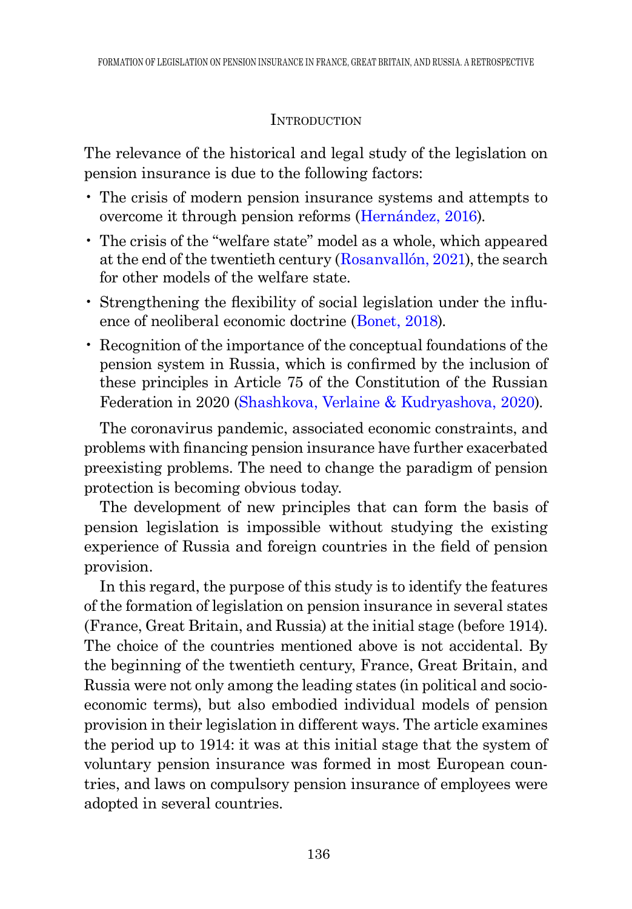## **INTRODUCTION**

The relevance of the historical and legal study of the legislation on pension insurance is due to the following factors:

- The crisis of modern pension insurance systems and attempts to overcome it through pension reforms (Hernández, 2016).
- The crisis of the "welfare state" model as a whole, which appeared at the end of the twentieth century (Rosanvallón, 2021), the search for other models of the welfare state.
- <span id="page-1-0"></span>• Strengthening the flexibility of social legislation under the influence of neoliberal economic doctrine [\(Bonet, 2018](#page-15-0)).
- Recognition of the importance of the conceptual foundations of the pension system in Russia, which is confirmed by the inclusion of these principles in Article 75 of the Constitution of the Russian Federation in 2020 (Shashkova, Verlaine & Kudryashova, 2020).

<span id="page-1-1"></span>The coronavirus pandemic, associated economic constraints, and problems with financing pension insurance have further exacerbated preexisting problems. The need to change the paradigm of pension protection is becoming obvious today.

The development of new principles that can form the basis of pension legislation is impossible without studying the existing experience of Russia and foreign countries in the field of pension provision.

In this regard, the purpose of this study is to identify the features of the formation of legislation on pension insurance in several states (France, Great Britain, and Russia) at the initial stage (before 1914). The choice of the countries mentioned above is not accidental. By the beginning of the twentieth century, France, Great Britain, and Russia were not only among the leading states (in political and socioeconomic terms), but also embodied individual models of pension provision in their legislation in different ways. The article examines the period up to 1914: it was at this initial stage that the system of voluntary pension insurance was formed in most European countries, and laws on compulsory pension insurance of employees were adopted in several countries.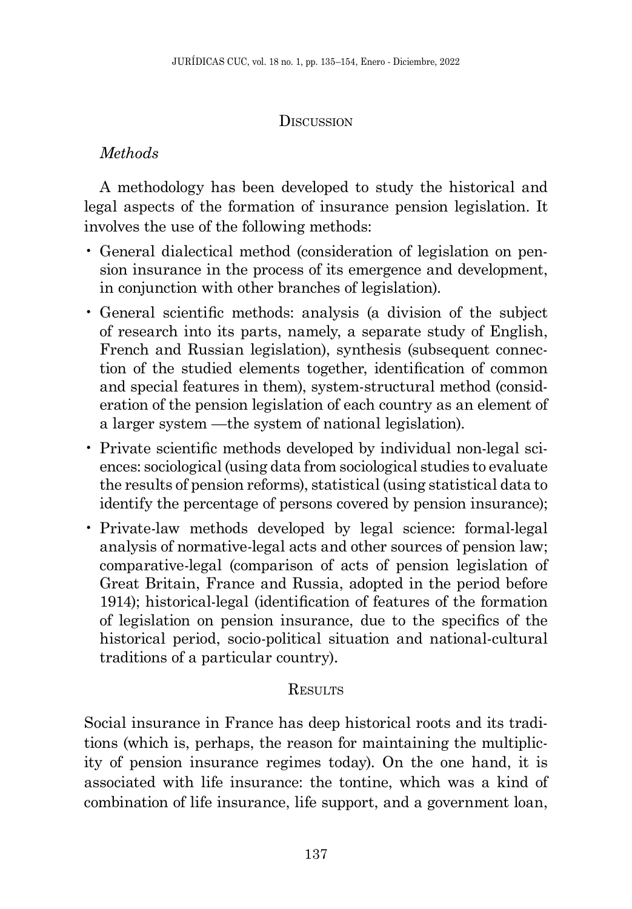## **D**ISCUSSION

# *Methods*

A methodology has been developed to study the historical and legal aspects of the formation of insurance pension legislation. It involves the use of the following methods:

- General dialectical method (consideration of legislation on pension insurance in the process of its emergence and development, in conjunction with other branches of legislation).
- General scientific methods: analysis (a division of the subject of research into its parts, namely, a separate study of English, French and Russian legislation), synthesis (subsequent connection of the studied elements together, identification of common and special features in them), system-structural method (consideration of the pension legislation of each country as an element of a larger system —the system of national legislation).
- Private scientific methods developed by individual non-legal sciences: sociological (using data from sociological studies to evaluate the results of pension reforms), statistical (using statistical data to identify the percentage of persons covered by pension insurance);
- Private-law methods developed by legal science: formal-legal analysis of normative-legal acts and other sources of pension law; comparative-legal (comparison of acts of pension legislation of Great Britain, France and Russia, adopted in the period before 1914); historical-legal (identification of features of the formation of legislation on pension insurance, due to the specifics of the historical period, socio-political situation and national-cultural traditions of a particular country).

# **RESULTS**

Social insurance in France has deep historical roots and its traditions (which is, perhaps, the reason for maintaining the multiplicity of pension insurance regimes today). On the one hand, it is associated with life insurance: the tontine, which was a kind of combination of life insurance, life support, and a government loan,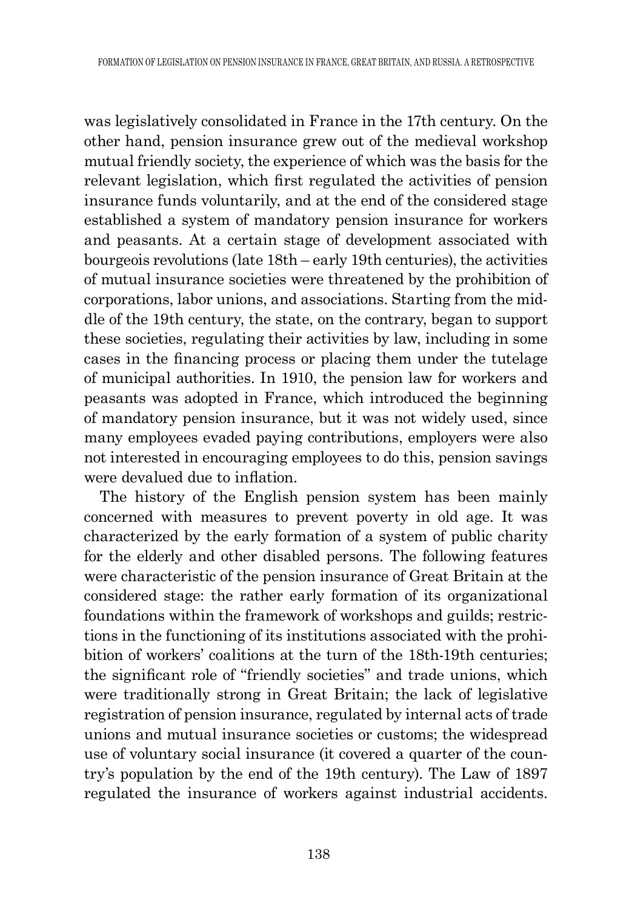was legislatively consolidated in France in the 17th century. On the other hand, pension insurance grew out of the medieval workshop mutual friendly society, the experience of which was the basis for the relevant legislation, which first regulated the activities of pension insurance funds voluntarily, and at the end of the considered stage established a system of mandatory pension insurance for workers and peasants. At a certain stage of development associated with bourgeois revolutions (late 18th – early 19th centuries), the activities of mutual insurance societies were threatened by the prohibition of corporations, labor unions, and associations. Starting from the middle of the 19th century, the state, on the contrary, began to support these societies, regulating their activities by law, including in some cases in the financing process or placing them under the tutelage of municipal authorities. In 1910, the pension law for workers and peasants was adopted in France, which introduced the beginning of mandatory pension insurance, but it was not widely used, since many employees evaded paying contributions, employers were also not interested in encouraging employees to do this, pension savings were devalued due to inflation.

The history of the English pension system has been mainly concerned with measures to prevent poverty in old age. It was characterized by the early formation of a system of public charity for the elderly and other disabled persons. The following features were characteristic of the pension insurance of Great Britain at the considered stage: the rather early formation of its organizational foundations within the framework of workshops and guilds; restrictions in the functioning of its institutions associated with the prohibition of workers' coalitions at the turn of the 18th-19th centuries; the significant role of "friendly societies" and trade unions, which were traditionally strong in Great Britain; the lack of legislative registration of pension insurance, regulated by internal acts of trade unions and mutual insurance societies or customs; the widespread use of voluntary social insurance (it covered a quarter of the country's population by the end of the 19th century). The Law of 1897 regulated the insurance of workers against industrial accidents.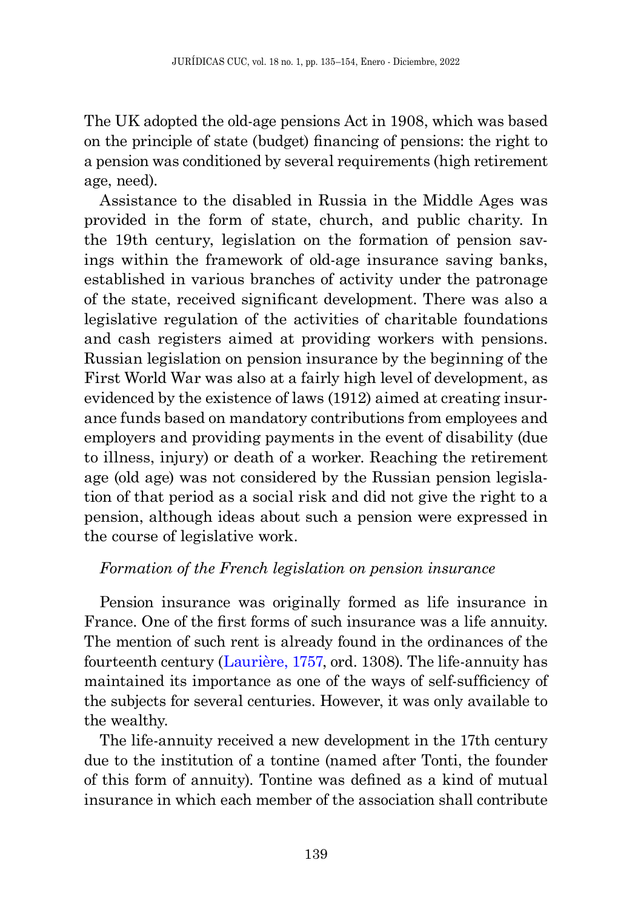The UK adopted the old-age pensions Act in 1908, which was based on the principle of state (budget) financing of pensions: the right to a pension was conditioned by several requirements (high retirement age, need).

Assistance to the disabled in Russia in the Middle Ages was provided in the form of state, church, and public charity. In the 19th century, legislation on the formation of pension savings within the framework of old-age insurance saving banks, established in various branches of activity under the patronage of the state, received significant development. There was also a legislative regulation of the activities of charitable foundations and cash registers aimed at providing workers with pensions. Russian legislation on pension insurance by the beginning of the First World War was also at a fairly high level of development, as evidenced by the existence of laws (1912) aimed at creating insurance funds based on mandatory contributions from employees and employers and providing payments in the event of disability (due to illness, injury) or death of a worker. Reaching the retirement age (old age) was not considered by the Russian pension legislation of that period as a social risk and did not give the right to a pension, although ideas about such a pension were expressed in the course of legislative work.

### *Formation of the French legislation on pension insurance*

Pension insurance was originally formed as life insurance in France. One of the first forms of such insurance was a life annuity. The mention of such rent is already found in the ordinances of the fourteenth century (Laurière, 1757, ord. 1308). The life-annuity has maintained its importance as one of the ways of self-sufficiency of the subjects for several centuries. However, it was only available to the wealthy.

The life-annuity received a new development in the 17th century due to the institution of a tontine (named after Tonti, the founder of this form of annuity). Tontine was defined as a kind of mutual insurance in which each member of the association shall contribute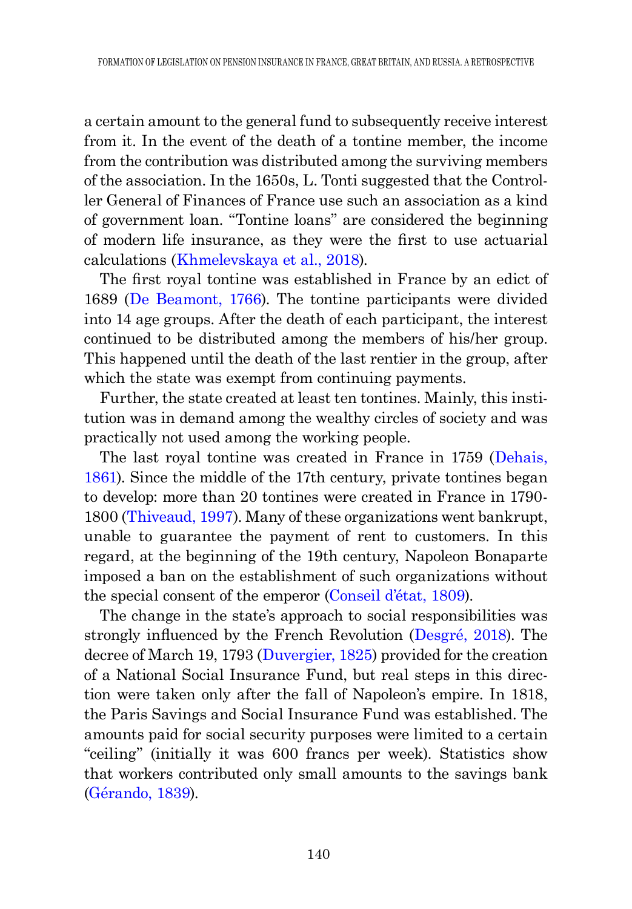a certain amount to the general fund to subsequently receive interest from it. In the event of the death of a tontine member, the income from the contribution was distributed among the surviving members of the association. In the 1650s, L. Tonti suggested that the Controller General of Finances of France use such an association as a kind of government loan. "Tontine loans" are considered the beginning of modern life insurance, as they were the first to use actuarial calculations ([Khmelevskaya et al., 2018\)](#page-16-0).

<span id="page-5-3"></span><span id="page-5-0"></span>The first royal tontine was established in France by an edict of 1689 ([De Beamont, 1766\)](#page-15-1). The tontine participants were divided into 14 age groups. After the death of each participant, the interest continued to be distributed among the members of his/her group. This happened until the death of the last rentier in the group, after which the state was exempt from continuing payments.

Further, the state created at least ten tontines. Mainly, this institution was in demand among the wealthy circles of society and was practically not used among the working people.

<span id="page-5-1"></span>The last royal tontine was created in France in 1759 ([Dehais,](#page-15-2)  [1861](#page-15-2)). Since the middle of the 17th century, private tontines began to develop: more than 20 tontines were created in France in 1790- 1800 (Thiveaud, 1997). Many of these organizations went bankrupt, unable to guarantee the payment of rent to customers. In this regard, at the beginning of the 19th century, Napoleon Bonaparte imposed a ban on the establishment of such organizations without the special consent of the emperor (Conseil d'état, 1809).

<span id="page-5-2"></span>The change in the state's approach to social responsibilities was strongly influenced by the French Revolution (Desgré, 2018). The decree of March 19, 1793 ([Duvergier, 1825](#page-15-3)) provided for the creation of a National Social Insurance Fund, but real steps in this direction were taken only after the fall of Napoleon's empire. In 1818, the Paris Savings and Social Insurance Fund was established. The amounts paid for social security purposes were limited to a certain "ceiling" (initially it was 600 francs per week). Statistics show that workers contributed only small amounts to the savings bank (Gérando, 1839).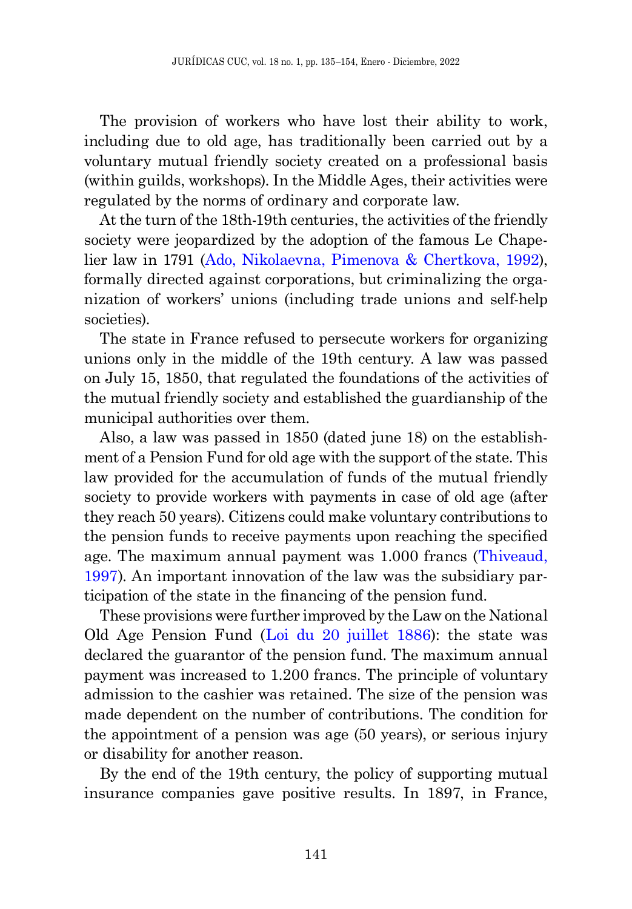The provision of workers who have lost their ability to work, including due to old age, has traditionally been carried out by a voluntary mutual friendly society created on a professional basis (within guilds, workshops). In the Middle Ages, their activities were regulated by the norms of ordinary and corporate law.

<span id="page-6-0"></span>At the turn of the 18th-19th centuries, the activities of the friendly society were jeopardized by the adoption of the famous Le Chapelier law in 1791 ([Ado, Nikolaevna, Pimenova & Chertkova, 1992\)](#page-15-4), formally directed against corporations, but criminalizing the organization of workers' unions (including trade unions and self-help societies).

The state in France refused to persecute workers for organizing unions only in the middle of the 19th century. A law was passed on July 15, 1850, that regulated the foundations of the activities of the mutual friendly society and established the guardianship of the municipal authorities over them.

Also, a law was passed in 1850 (dated june 18) on the establishment of a Pension Fund for old age with the support of the state. This law provided for the accumulation of funds of the mutual friendly society to provide workers with payments in case of old age (after they reach 50 years). Citizens could make voluntary contributions to the pension funds to receive payments upon reaching the specified age. The maximum annual payment was 1.000 francs (Thiveaud, 1997). An important innovation of the law was the subsidiary participation of the state in the financing of the pension fund.

<span id="page-6-1"></span>These provisions were further improved by the Law on the National Old Age Pension Fund ([Loi du 20 juillet 1886](#page-16-1)): the state was declared the guarantor of the pension fund. The maximum annual payment was increased to 1.200 francs. The principle of voluntary admission to the cashier was retained. The size of the pension was made dependent on the number of contributions. The condition for the appointment of a pension was age (50 years), or serious injury or disability for another reason.

By the end of the 19th century, the policy of supporting mutual insurance companies gave positive results. In 1897, in France,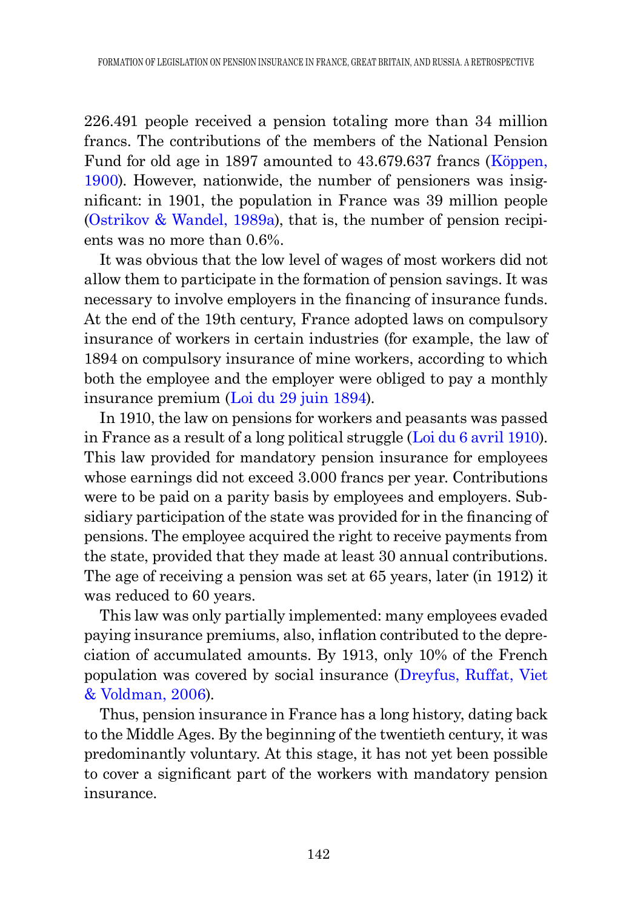226.491 people received a pension totaling more than 34 million francs. The contributions of the members of the National Pension Fund for old age in 1897 amounted to 43.679.637 francs (Köppen, 1900). However, nationwide, the number of pensioners was insignificant: in 1901, the population in France was 39 million people [\(Ostrikov & Wandel, 1989a](#page-17-0)), that is, the number of pension recipients was no more than 0.6%.

<span id="page-7-3"></span>It was obvious that the low level of wages of most workers did not allow them to participate in the formation of pension savings. It was necessary to involve employers in the financing of insurance funds. At the end of the 19th century, France adopted laws on compulsory insurance of workers in certain industries (for example, the law of 1894 on compulsory insurance of mine workers, according to which both the employee and the employer were obliged to pay a monthly insurance premium ([Loi du 29 juin 1894](#page-16-2)).

<span id="page-7-2"></span><span id="page-7-1"></span>In 1910, the law on pensions for workers and peasants was passed in France as a result of a long political struggle ([Loi du 6 avril 1910\)](#page-16-3). This law provided for mandatory pension insurance for employees whose earnings did not exceed 3.000 francs per year. Contributions were to be paid on a parity basis by employees and employers. Subsidiary participation of the state was provided for in the financing of pensions. The employee acquired the right to receive payments from the state, provided that they made at least 30 annual contributions. The age of receiving a pension was set at 65 years, later (in 1912) it was reduced to 60 years.

This law was only partially implemented: many employees evaded paying insurance premiums, also, inflation contributed to the depreciation of accumulated amounts. By 1913, only 10% of the French population was covered by social insurance ([Dreyfus, Ruffat, Viet](#page-15-5)  [& Voldman, 2006](#page-15-5)).

<span id="page-7-0"></span>Thus, pension insurance in France has a long history, dating back to the Middle Ages. By the beginning of the twentieth century, it was predominantly voluntary. At this stage, it has not yet been possible to cover a significant part of the workers with mandatory pension insurance.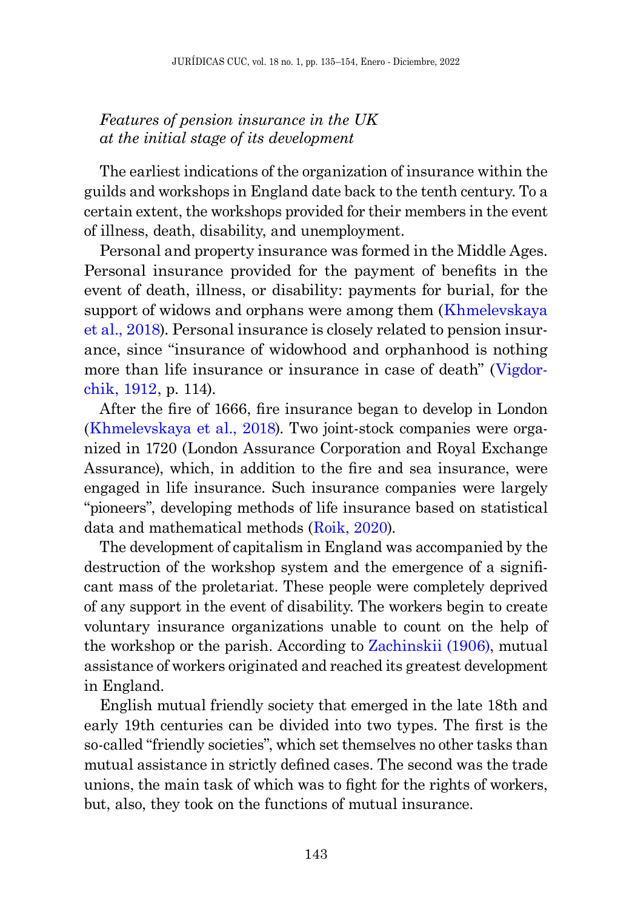## *Features of pension insurance in the UK at the initial stage of its development*

The earliest indications of the organization of insurance within the guilds and workshops in England date back to the tenth century. To a certain extent, the workshops provided for their members in the event of illness, death, disability, and unemployment.

Personal and property insurance was formed in the Middle Ages. Personal insurance provided for the payment of benefits in the event of death, illness, or disability: payments for burial, for the support of widows and orphans were among them ([Khmelevskaya](#page-16-0)  [et al., 2018\)](#page-16-0). Personal insurance is closely related to pension insurance, since "insurance of widowhood and orphanhood is nothing more than life insurance or insurance in case of death" (Vigdorchik, 1912, p. 114).

After the fire of 1666, fire insurance began to develop in London ([Khmelevskaya et al., 2018\)](#page-16-0). Two joint-stock companies were organized in 1720 (London Assurance Corporation and Royal Exchange Assurance), which, in addition to the fire and sea insurance, were engaged in life insurance. Such insurance companies were largely "pioneers", developing methods of life insurance based on statistical data and mathematical methods ([Roik, 2020\)](#page-18-0).

The development of capitalism in England was accompanied by the destruction of the workshop system and the emergence of a significant mass of the proletariat. These people were completely deprived of any support in the event of disability. The workers begin to create voluntary insurance organizations unable to count on the help of the workshop or the parish. According to Zachinskii (1906), mutual assistance of workers originated and reached its greatest development in England.

English mutual friendly society that emerged in the late 18th and early 19th centuries can be divided into two types. The first is the so-called "friendly societies", which set themselves no other tasks than mutual assistance in strictly defined cases. The second was the trade unions, the main task of which was to fight for the rights of workers, but, also, they took on the functions of mutual insurance.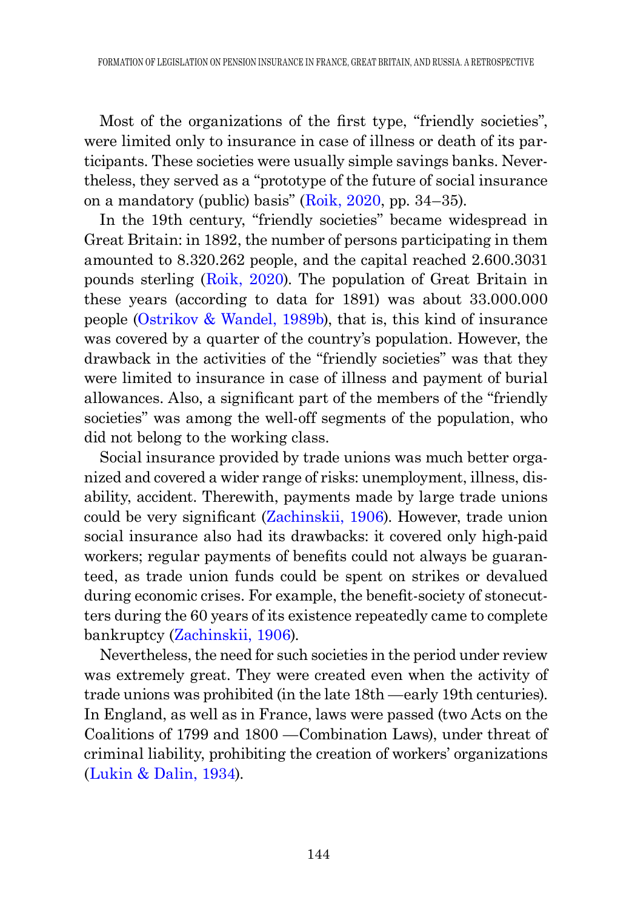Most of the organizations of the first type, "friendly societies", were limited only to insurance in case of illness or death of its participants. These societies were usually simple savings banks. Nevertheless, they served as a "prototype of the future of social insurance on a mandatory (public) basis" ([Roik, 2020,](#page-18-0) pp. 34–35).

<span id="page-9-1"></span>In the 19th century, "friendly societies" became widespread in Great Britain: in 1892, the number of persons participating in them amounted to 8.320.262 people, and the capital reached 2.600.3031 pounds sterling ([Roik, 2020\)](#page-18-0). The population of Great Britain in these years (according to data for 1891) was about 33.000.000 people [\(Ostrikov & Wandel, 1989b](#page-17-1)), that is, this kind of insurance was covered by a quarter of the country's population. However, the drawback in the activities of the "friendly societies" was that they were limited to insurance in case of illness and payment of burial allowances. Also, a significant part of the members of the "friendly societies" was among the well-off segments of the population, who did not belong to the working class.

Social insurance provided by trade unions was much better organized and covered a wider range of risks: unemployment, illness, disability, accident. Therewith, payments made by large trade unions could be very significant (Zachinskii, 1906). However, trade union social insurance also had its drawbacks: it covered only high-paid workers; regular payments of benefits could not always be guaranteed, as trade union funds could be spent on strikes or devalued during economic crises. For example, the benefit-society of stonecutters during the 60 years of its existence repeatedly came to complete bankruptcy (Zachinskii, 1906).

<span id="page-9-0"></span>Nevertheless, the need for such societies in the period under review was extremely great. They were created even when the activity of trade unions was prohibited (in the late 18th —early 19th centuries). In England, as well as in France, laws were passed (two Acts on the Coalitions of 1799 and 1800 —Combination Laws), under threat of criminal liability, prohibiting the creation of workers' organizations ([Lukin & Dalin, 1934](#page-17-2)).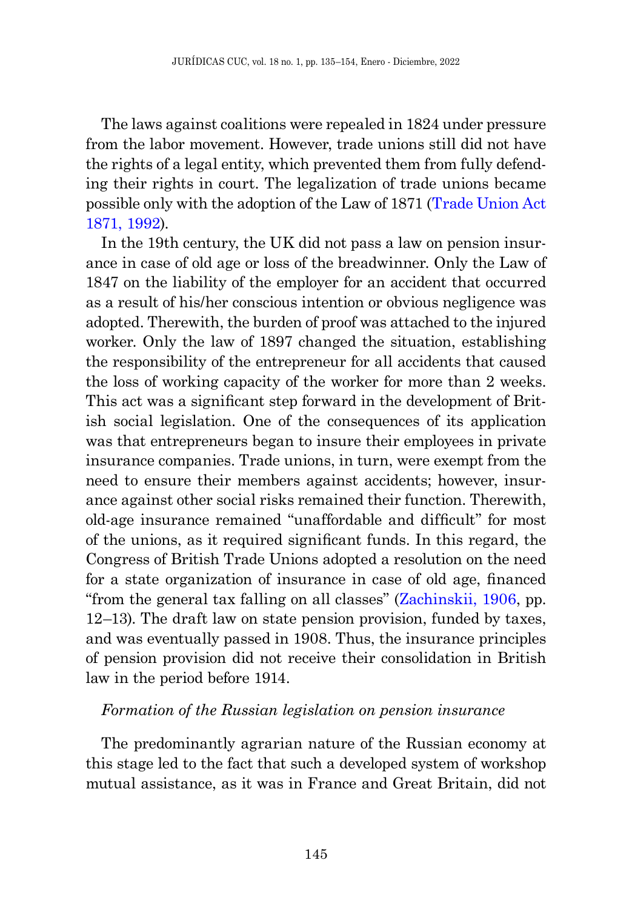The laws against coalitions were repealed in 1824 under pressure from the labor movement. However, trade unions still did not have the rights of a legal entity, which prevented them from fully defending their rights in court. The legalization of trade unions became possible only with the adoption of the Law of 1871 (Trade Union Act 1871, 1992).

In the 19th century, the UK did not pass a law on pension insurance in case of old age or loss of the breadwinner. Only the Law of 1847 on the liability of the employer for an accident that occurred as a result of his/her conscious intention or obvious negligence was adopted. Therewith, the burden of proof was attached to the injured worker. Only the law of 1897 changed the situation, establishing the responsibility of the entrepreneur for all accidents that caused the loss of working capacity of the worker for more than 2 weeks. This act was a significant step forward in the development of British social legislation. One of the consequences of its application was that entrepreneurs began to insure their employees in private insurance companies. Trade unions, in turn, were exempt from the need to ensure their members against accidents; however, insurance against other social risks remained their function. Therewith, old-age insurance remained "unaffordable and difficult" for most of the unions, as it required significant funds. In this regard, the Congress of British Trade Unions adopted a resolution on the need for a state organization of insurance in case of old age, financed "from the general tax falling on all classes" (Zachinskii, 1906, pp. 12–13). The draft law on state pension provision, funded by taxes, and was eventually passed in 1908. Thus, the insurance principles of pension provision did not receive their consolidation in British law in the period before 1914.

### *Formation of the Russian legislation on pension insurance*

The predominantly agrarian nature of the Russian economy at this stage led to the fact that such a developed system of workshop mutual assistance, as it was in France and Great Britain, did not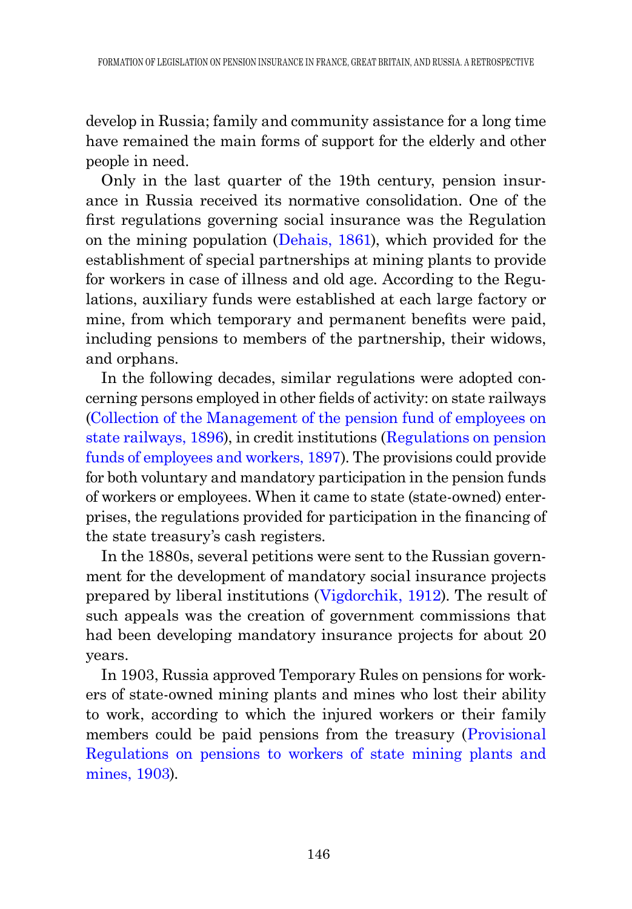develop in Russia; family and community assistance for a long time have remained the main forms of support for the elderly and other people in need.

Only in the last quarter of the 19th century, pension insurance in Russia received its normative consolidation. One of the first regulations governing social insurance was the Regulation on the mining population ([Dehais, 1861\)](#page-15-2), which provided for the establishment of special partnerships at mining plants to provide for workers in case of illness and old age. According to the Regulations, auxiliary funds were established at each large factory or mine, from which temporary and permanent benefits were paid, including pensions to members of the partnership, their widows, and orphans.

<span id="page-11-2"></span><span id="page-11-1"></span>In the following decades, similar regulations were adopted concerning persons employed in other fields of activity: on state railways [\(Collection of the Management of the pension fund of employees on](#page-18-1)  [state railways, 1896\)](#page-18-1), in credit institutions ([Regulations on pension](#page-18-2)  [funds of employees and workers, 1897](#page-18-2)). The provisions could provide for both voluntary and mandatory participation in the pension funds of workers or employees. When it came to state (state-owned) enterprises, the regulations provided for participation in the financing of the state treasury's cash registers.

In the 1880s, several petitions were sent to the Russian government for the development of mandatory social insurance projects prepared by liberal institutions (Vigdorchik, 1912). The result of such appeals was the creation of government commissions that had been developing mandatory insurance projects for about 20 years.

<span id="page-11-0"></span>In 1903, Russia approved Temporary Rules on pensions for workers of state-owned mining plants and mines who lost their ability to work, according to which the injured workers or their family members could be paid pensions from the treasury (*Provisional*) [Regulations on pensions to workers of state mining plants and](#page-17-3)  [mines, 1903](#page-17-3)).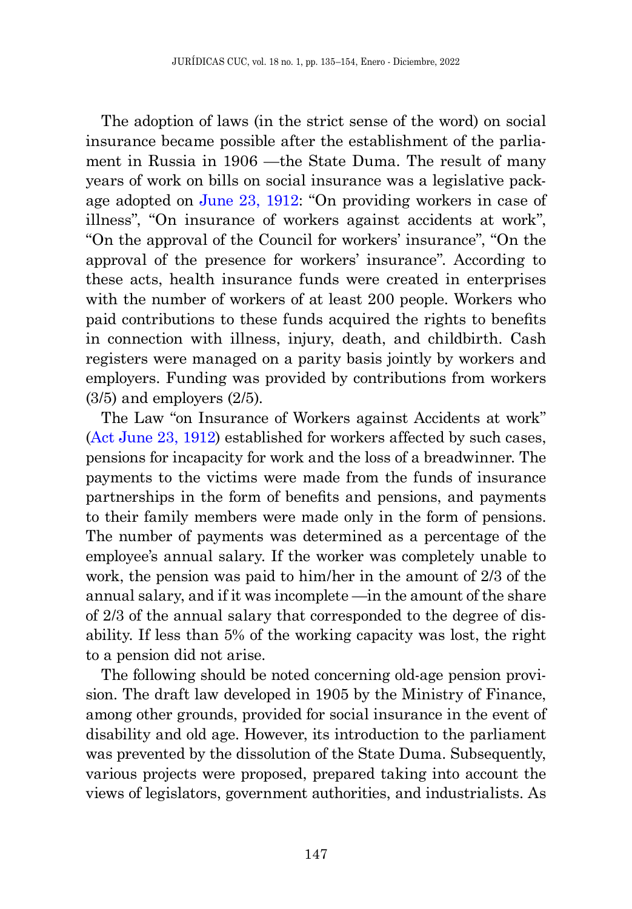The adoption of laws (in the strict sense of the word) on social insurance became possible after the establishment of the parliament in Russia in 1906 —the State Duma. The result of many years of work on bills on social insurance was a legislative package adopted on [June 23, 1912:](#page-17-4) "On providing workers in case of illness", "On insurance of workers against accidents at work", "On the approval of the Council for workers' insurance", "On the approval of the presence for workers' insurance". According to these acts, health insurance funds were created in enterprises with the number of workers of at least 200 people. Workers who paid contributions to these funds acquired the rights to benefits in connection with illness, injury, death, and childbirth. Cash registers were managed on a parity basis jointly by workers and employers. Funding was provided by contributions from workers (3/5) and employers (2/5).

<span id="page-12-0"></span>The Law "on Insurance of Workers against Accidents at work" ([Act June 23, 1912](#page-17-4)) established for workers affected by such cases, pensions for incapacity for work and the loss of a breadwinner. The payments to the victims were made from the funds of insurance partnerships in the form of benefits and pensions, and payments to their family members were made only in the form of pensions. The number of payments was determined as a percentage of the employee's annual salary. If the worker was completely unable to work, the pension was paid to him/her in the amount of 2/3 of the annual salary, and if it was incomplete —in the amount of the share of 2/3 of the annual salary that corresponded to the degree of disability. If less than 5% of the working capacity was lost, the right to a pension did not arise.

The following should be noted concerning old-age pension provision. The draft law developed in 1905 by the Ministry of Finance, among other grounds, provided for social insurance in the event of disability and old age. However, its introduction to the parliament was prevented by the dissolution of the State Duma. Subsequently, various projects were proposed, prepared taking into account the views of legislators, government authorities, and industrialists. As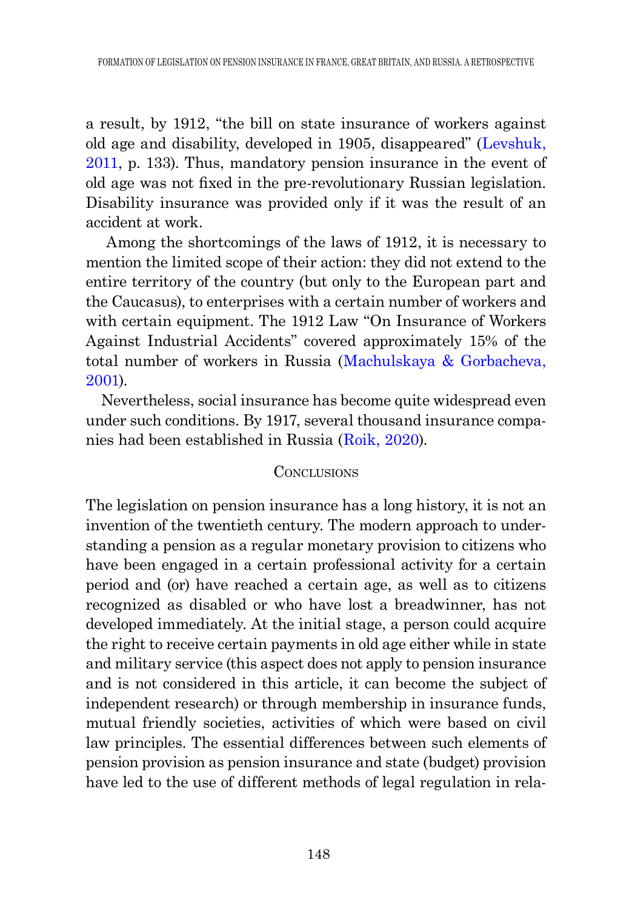<span id="page-13-0"></span>a result, by 1912, "the bill on state insurance of workers against old age and disability, developed in 1905, disappeared" ([Levshuk,](#page-17-5)  [2011,](#page-17-5) p. 133). Thus, mandatory pension insurance in the event of old age was not fixed in the pre-revolutionary Russian legislation. Disability insurance was provided only if it was the result of an accident at work.

 Among the shortcomings of the laws of 1912, it is necessary to mention the limited scope of their action: they did not extend to the entire territory of the country (but only to the European part and the Caucasus), to enterprises with a certain number of workers and with certain equipment. The 1912 Law "On Insurance of Workers Against Industrial Accidents" covered approximately 15% of the total number of workers in Russia ([Machulskaya & Gorbacheva,](#page-17-6)  [2001](#page-17-6)).

<span id="page-13-2"></span><span id="page-13-1"></span>Nevertheless, social insurance has become quite widespread even under such conditions. By 1917, several thousand insurance companies had been established in Russia ([Roik, 2020](#page-18-0)).

### **CONCLUSIONS**

The legislation on pension insurance has a long history, it is not an invention of the twentieth century. The modern approach to understanding a pension as a regular monetary provision to citizens who have been engaged in a certain professional activity for a certain period and (or) have reached a certain age, as well as to citizens recognized as disabled or who have lost a breadwinner, has not developed immediately. At the initial stage, a person could acquire the right to receive certain payments in old age either while in state and military service (this aspect does not apply to pension insurance and is not considered in this article, it can become the subject of independent research) or through membership in insurance funds, mutual friendly societies, activities of which were based on civil law principles. The essential differences between such elements of pension provision as pension insurance and state (budget) provision have led to the use of different methods of legal regulation in rela-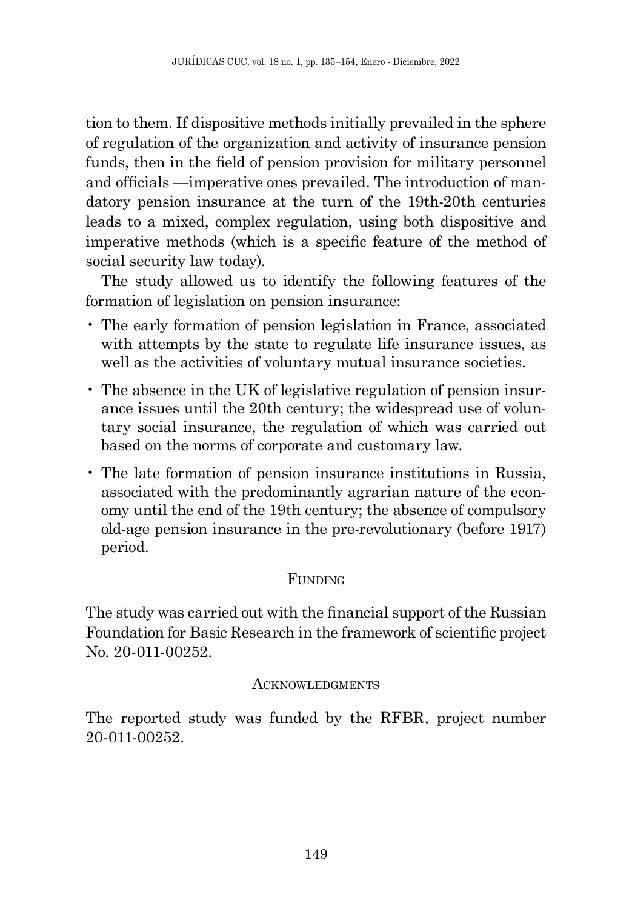tion to them. If dispositive methods initially prevailed in the sphere of regulation of the organization and activity of insurance pension funds, then in the field of pension provision for military personnel and officials —imperative ones prevailed. The introduction of mandatory pension insurance at the turn of the 19th-20th centuries leads to a mixed, complex regulation, using both dispositive and imperative methods (which is a specific feature of the method of social security law today).

The study allowed us to identify the following features of the formation of legislation on pension insurance:

- The early formation of pension legislation in France, associated with attempts by the state to regulate life insurance issues, as well as the activities of voluntary mutual insurance societies.
- The absence in the UK of legislative regulation of pension insurance issues until the 20th century; the widespread use of voluntary social insurance, the regulation of which was carried out based on the norms of corporate and customary law.
- The late formation of pension insurance institutions in Russia, associated with the predominantly agrarian nature of the economy until the end of the 19th century; the absence of compulsory old-age pension insurance in the pre-revolutionary (before 1917) period.

# FUNDING

The study was carried out with the financial support of the Russian Foundation for Basic Research in the framework of scientific project No. 20-011-00252.

## **ACKNOWLEDGMENTS**

The reported study was funded by the RFBR, project number 20-011-00252.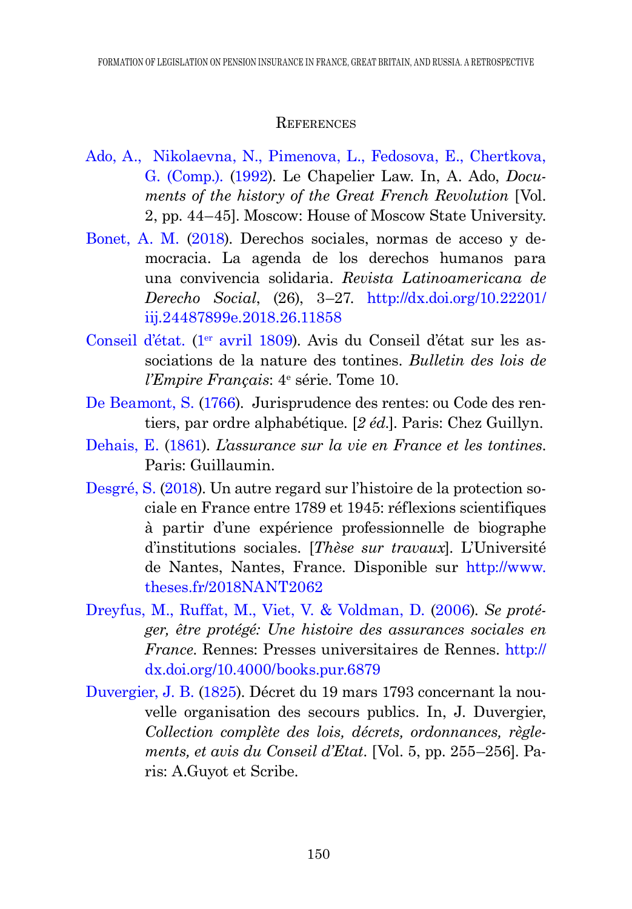### **REFERENCES**

- <span id="page-15-4"></span>[Ado, A., Nikolaevna, N., Pimenova, L., Fedosova, E., Chertkova,](#page-6-0)  [G. \(Comp.\).](#page-6-0) (1992). Le Chapelier Law. In, A. Ado, *Documents of the history of the Great French Revolution* [Vol. 2, pp. 44–45]. Moscow: House of Moscow State University.
- <span id="page-15-0"></span>[Bonet, A. M. \(](#page-1-0)2018). Derechos sociales, normas de acceso y democracia. La agenda de los derechos humanos para una convivencia solidaria. *Revista Latinoamericana de Derecho Social*, (26), 3–27. [http://dx.doi.org/10.22201/](http://dx.doi.org/10.22201/iij.24487899e.2018.26.11858) [iij.24487899e.2018.26.11858](http://dx.doi.org/10.22201/iij.24487899e.2018.26.11858)
- Conseil d'état. (1<sup>er</sup> avril 1809). Avis du Conseil d'état sur les associations de la nature des tontines. *Bulletin des lois de l'Empire Français*: 4e série. Tome 10.
- <span id="page-15-1"></span>[De Beamont, S. \(](#page-5-0)1766). Jurisprudence des rentes: ou Code des rentiers, par ordre alphabétique. [*2 éd.*]. Paris: Chez Guillyn.
- <span id="page-15-2"></span>[Dehais, E. \(](#page-5-1)1861). *L'assurance sur la vie en France et les tontines*. Paris: Guillaumin.
- Desgré, S. (2018). Un autre regard sur l'histoire de la protection sociale en France entre 1789 et 1945: réflexions scientifiques à partir d'une expérience professionnelle de biographe d'institutions sociales. [*Thèse sur travaux*]. L'Université de Nantes, Nantes, France. Disponible sur [http://www.](http://www.theses.fr/2018NANT2062) [theses.fr/2018NANT2062](http://www.theses.fr/2018NANT2062)
- <span id="page-15-5"></span>[Dreyfus, M., Ruffat, M., Viet, V. & Voldman, D.](#page-7-0) (2006). *Se protéger, être protégé: Une histoire des assurances sociales en France*. Rennes: Presses universitaires de Rennes. [http://](http://dx.doi.org/10.4000/books.pur.6879) [dx.doi.org/10.4000/books.pur.6879](http://dx.doi.org/10.4000/books.pur.6879)
- <span id="page-15-3"></span>[Duvergier, J. B. \(](#page-5-2)1825). Décret du 19 mars 1793 concernant la nouvelle organisation des secours publics. In, J. Duvergier, *Collection complète des lois, décrets, ordonnances, règlements, et avis du Conseil d'Etat*. [Vol. 5, pp. 255–256]. Paris: A.Guyot et Scribe.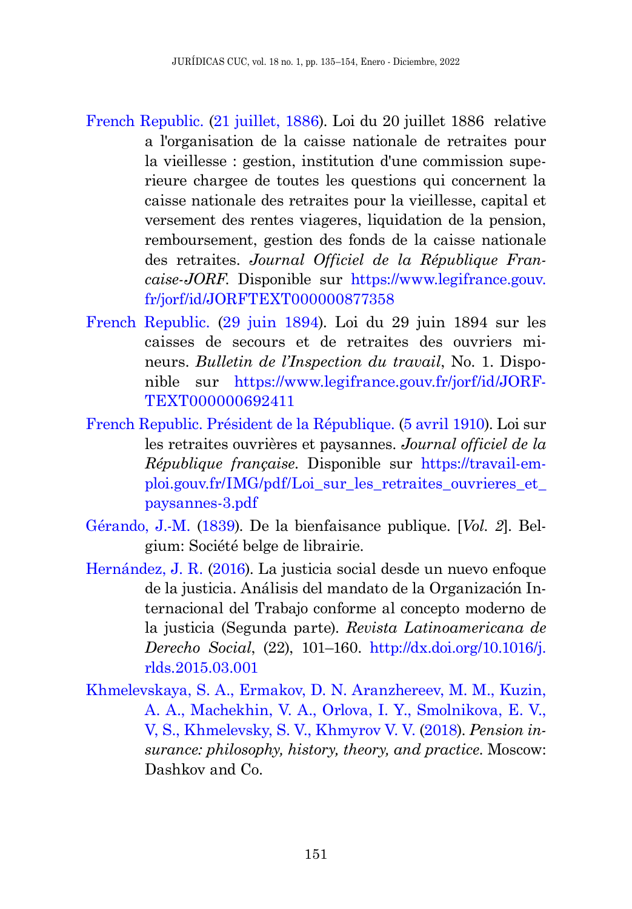- <span id="page-16-1"></span>[French Republic.](#page-6-1) (21 juillet, 1886). Loi du 20 juillet 1886 relative a l'organisation de la caisse nationale de retraites pour la vieillesse : gestion, institution d'une commission superieure chargee de toutes les questions qui concernent la caisse nationale des retraites pour la vieillesse, capital et versement des rentes viageres, liquidation de la pension, remboursement, gestion des fonds de la caisse nationale des retraites. *Journal Officiel de la République Francaise-JORF*. Disponible sur [https://www.legifrance.gouv.](https://www.legifrance.gouv.fr/jorf/id/JORFTEXT000000877358) [fr/jorf/id/JORFTEXT000000877358](https://www.legifrance.gouv.fr/jorf/id/JORFTEXT000000877358)
- <span id="page-16-2"></span>[French Republic.](#page-7-1) (29 juin 1894). Loi du 29 juin 1894 sur les caisses de secours et de retraites des ouvriers mineurs. *Bulletin de l'Inspection du travail*, No. 1. Disponible sur [https://www.legifrance.gouv.fr/jorf/id/JORF-](https://www.legifrance.gouv.fr/jorf/id/JORFTEXT000000692411)[TEXT000000692411](https://www.legifrance.gouv.fr/jorf/id/JORFTEXT000000692411)
- <span id="page-16-3"></span>[French Republic. Président de la République.](#page-7-2) (5 avril 1910). Loi sur les retraites ouvrières et paysannes. *Journal officiel de la République française*. Disponible sur [https://travail-em](https://travail-emploi.gouv.fr/IMG/pdf/Loi_sur_les_retraites_ouvrieres_et_paysannes-3.pdf)[ploi.gouv.fr/IMG/pdf/Loi\\_sur\\_les\\_retraites\\_ouvrieres\\_et\\_](https://travail-emploi.gouv.fr/IMG/pdf/Loi_sur_les_retraites_ouvrieres_et_paysannes-3.pdf) [paysannes-3.pdf](https://travail-emploi.gouv.fr/IMG/pdf/Loi_sur_les_retraites_ouvrieres_et_paysannes-3.pdf)
- Gérando, J.-M. (1839). De la bienfaisance publique. [*Vol. 2*]. Belgium: Société belge de librairie.
- Hernández, J. R. (2016). La justicia social desde un nuevo enfoque de la justicia. Análisis del mandato de la Organización Internacional del Trabajo conforme al concepto moderno de la justicia (Segunda parte). *Revista Latinoamericana de Derecho Social*, (22), 101–160. [http://dx.doi.org/10.1016/j.](http://dx.doi.org/10.1016/j.rlds.2015.03.001) [rlds.2015.03.001](http://dx.doi.org/10.1016/j.rlds.2015.03.001)
- <span id="page-16-0"></span>[Khmelevskaya, S. A., Ermakov, D. N. Aranzhereev, M. M., Kuzin,](#page-5-3)  [A. A., Machekhin, V. A., Orlova, I. Y., Smolnikova, E. V.,](#page-5-3)  [V, S., Khmelevsky, S. V., Khmyrov V. V. \(](#page-5-3)2018). *Pension insurance: philosophy, history, theory, and practice*. Moscow: Dashkov and Co.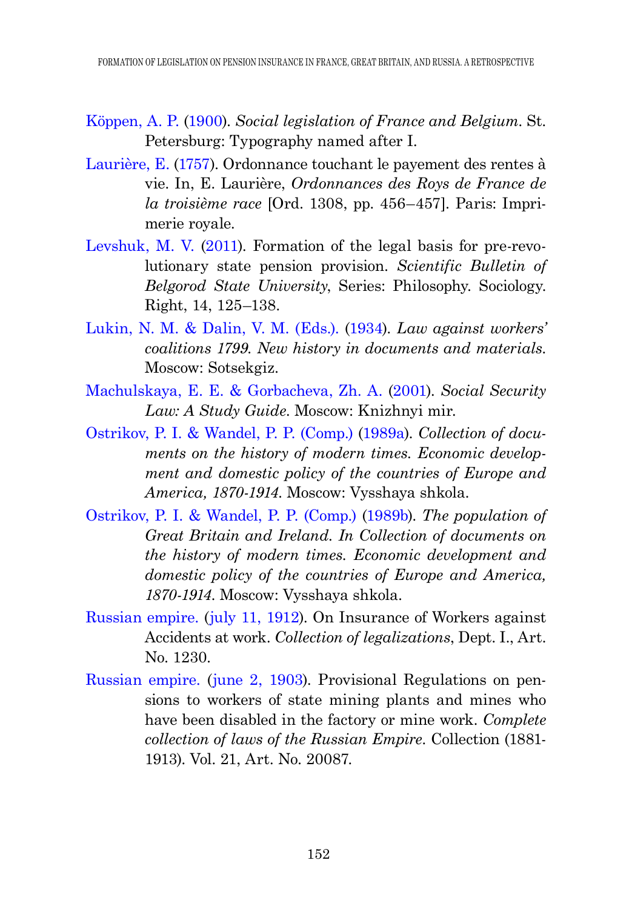- Köppen, A. P. (1900). *Social legislation of France and Belgium*. St. Petersburg: Typography named after I.
- Laurière, E. (1757). Ordonnance touchant le payement des rentes à vie. In, E. Laurière, *Ordonnances des Roys de France de la troisième race* [Ord. 1308, pp. 456–457]. Paris: Imprimerie royale.
- <span id="page-17-5"></span>[Levshuk, M. V. \(](#page-13-0)2011). Formation of the legal basis for pre-revolutionary state pension provision. *Scientific Bulletin of Belgorod State University*, Series: Philosophy. Sociology. Right, 14, 125–138.
- <span id="page-17-2"></span>[Lukin, N. M. & Dalin, V. M. \(Eds.\). \(](#page-9-0)1934). *Law against workers' coalitions 1799. New history in documents and materials*. Moscow: Sotsekgiz.
- <span id="page-17-6"></span>[Machulskaya, E. E. & Gorbacheva, Zh. A.](#page-13-1) (2001). *Social Security Law: A Study Guide*. Moscow: Knizhnyi mir.
- <span id="page-17-0"></span>[Ostrikov, P. I. & Wandel, P. P. \(Comp.\)](#page-7-3) (1989a). *Collection of documents on the history of modern times. Economic development and domestic policy of the countries of Europe and America, 1870-1914*. Moscow: Vysshaya shkola.
- <span id="page-17-1"></span>[Ostrikov, P. I. & Wandel, P. P. \(Comp.\) \(](#page-9-1)1989b). *The population of Great Britain and Ireland. In Collection of documents on the history of modern times. Economic development and domestic policy of the countries of Europe and America, 1870-1914*. Moscow: Vysshaya shkola.
- <span id="page-17-4"></span>[Russian empire. \(](#page-12-0)july 11, 1912). On Insurance of Workers against Accidents at work. *Collection of legalizations*, Dept. I., Art. No. 1230.
- <span id="page-17-3"></span>[Russian empire.](#page-11-0) (june 2, 1903). Provisional Regulations on pensions to workers of state mining plants and mines who have been disabled in the factory or mine work. *Complete collection of laws of the Russian Empire*. Collection (1881- 1913). Vol. 21, Art. No. 20087.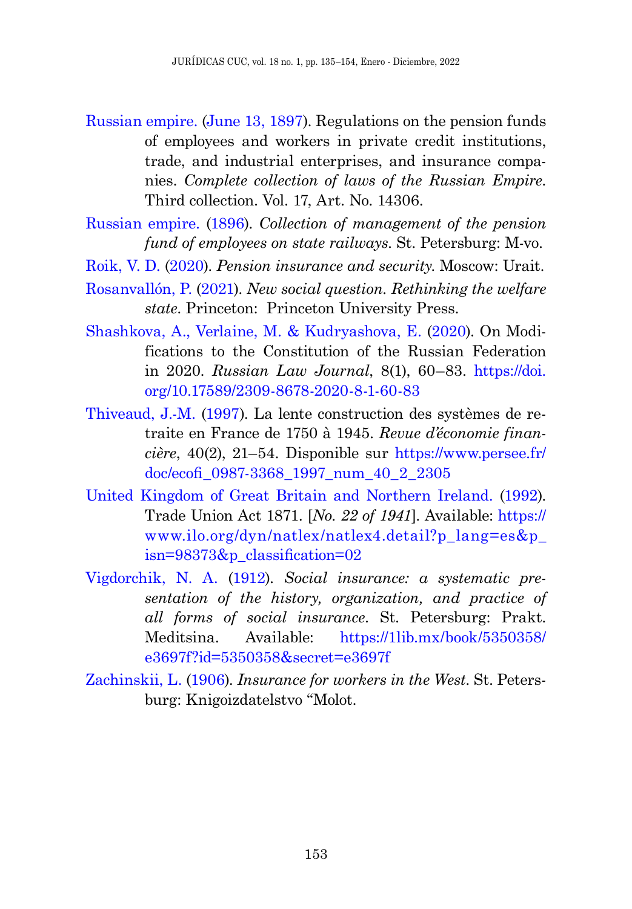- <span id="page-18-2"></span>[Russian empire. \(](#page-11-1)June 13, 1897). Regulations on the pension funds of employees and workers in private credit institutions, trade, and industrial enterprises, and insurance companies. *Complete collection of laws of the Russian Empire*. Third collection. Vol. 17, Art. No. 14306.
- <span id="page-18-1"></span>[Russian empire. \(](#page-11-2)1896). *Collection of management of the pension fund of employees on state railways*. St. Petersburg: M-vo.
- <span id="page-18-0"></span>[Roik, V. D.](#page-13-2) (2020). *Pension insurance and security*. Moscow: Urait.
- Rosanvallón, P. (2021). *New social question. Rethinking the welfare state*. Princeton: Princeton University Press.
- [Shashkova, А., Verlaine, M. & Kudryashova, E.](#page-1-1) (2020). On Modifications to the Constitution of the Russian Federation in 2020. *Russian Law Journal*, 8(1), 60–83. [https://doi.](https://doi.org/10.17589/2309-8678-2020-8-1-60-83) [org/10.17589/2309-8678-2020-8-1-60-83](https://doi.org/10.17589/2309-8678-2020-8-1-60-83)
- Thiveaud, J.-M. (1997). La lente construction des systèmes de retraite en France de 1750 à 1945. *Revue d'économie financière*, 40(2), 21–54. Disponible sur [https://www.persee.fr/](https://www.persee.fr/doc/ecofi_0987-3368_1997_num_40_2_2305) [doc/ecofi\\_0987-3368\\_1997\\_num\\_40\\_2\\_2305](https://www.persee.fr/doc/ecofi_0987-3368_1997_num_40_2_2305)
- United Kingdom of Great Britain and Northern Ireland. (1992). Trade Union Act 1871. [*No. 22 of 1941*]. Available: [https://](https://www.ilo.org/dyn/natlex/natlex4.detail?p_lang=es&p_isn=98373&p_classification=02) [www.ilo.org/dyn/natlex/natlex4.detail?p\\_lang=es&p\\_](https://www.ilo.org/dyn/natlex/natlex4.detail?p_lang=es&p_isn=98373&p_classification=02) [isn=98373&p\\_classification=02](https://www.ilo.org/dyn/natlex/natlex4.detail?p_lang=es&p_isn=98373&p_classification=02)
- Vigdorchik, N. A. (1912). *Social insurance: a systematic presentation of the history, organization, and practice of all forms of social insurance*. St. Petersburg: Prakt. Meditsina. Available: [https://1lib.mx/book/5350358/](https://1lib.mx/book/5350358/e3697f?id=5350358&secret=e3697f) [e3697f?id=5350358&secret=e3697f](https://1lib.mx/book/5350358/e3697f?id=5350358&secret=e3697f)
- Zachinskii, L. (1906). *Insurance for workers in the West*. St. Petersburg: Knigoizdatelstvo "Molot.